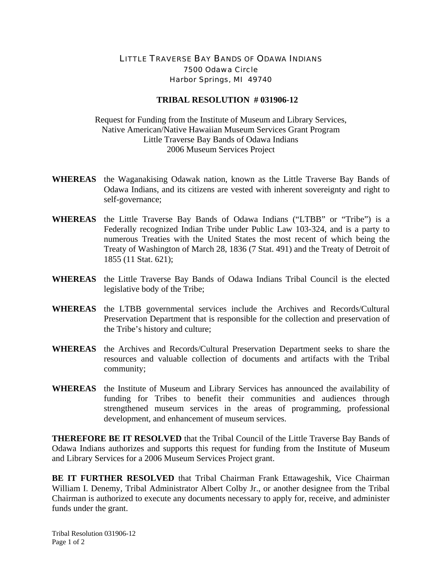## LITTLE TRAVERSE BAY BANDS OF ODAWA INDIANS 7500 Odawa Circle Harbor Springs, MI 49740

## **TRIBAL RESOLUTION # 031906-12**

Request for Funding from the Institute of Museum and Library Services, Native American/Native Hawaiian Museum Services Grant Program Little Traverse Bay Bands of Odawa Indians 2006 Museum Services Project

- **WHEREAS** the Waganakising Odawak nation, known as the Little Traverse Bay Bands of Odawa Indians, and its citizens are vested with inherent sovereignty and right to self-governance;
- **WHEREAS** the Little Traverse Bay Bands of Odawa Indians ("LTBB" or "Tribe") is a Federally recognized Indian Tribe under Public Law 103-324, and is a party to numerous Treaties with the United States the most recent of which being the Treaty of Washington of March 28, 1836 (7 Stat. 491) and the Treaty of Detroit of 1855 (11 Stat. 621);
- **WHEREAS** the Little Traverse Bay Bands of Odawa Indians Tribal Council is the elected legislative body of the Tribe;
- **WHEREAS** the LTBB governmental services include the Archives and Records/Cultural Preservation Department that is responsible for the collection and preservation of the Tribe's history and culture;
- **WHEREAS** the Archives and Records/Cultural Preservation Department seeks to share the resources and valuable collection of documents and artifacts with the Tribal community;
- **WHEREAS** the Institute of Museum and Library Services has announced the availability of funding for Tribes to benefit their communities and audiences through strengthened museum services in the areas of programming, professional development, and enhancement of museum services.

**THEREFORE BE IT RESOLVED** that the Tribal Council of the Little Traverse Bay Bands of Odawa Indians authorizes and supports this request for funding from the Institute of Museum and Library Services for a 2006 Museum Services Project grant.

**BE IT FURTHER RESOLVED** that Tribal Chairman Frank Ettawageshik, Vice Chairman William I. Denemy, Tribal Administrator Albert Colby Jr., or another designee from the Tribal Chairman is authorized to execute any documents necessary to apply for, receive, and administer funds under the grant.